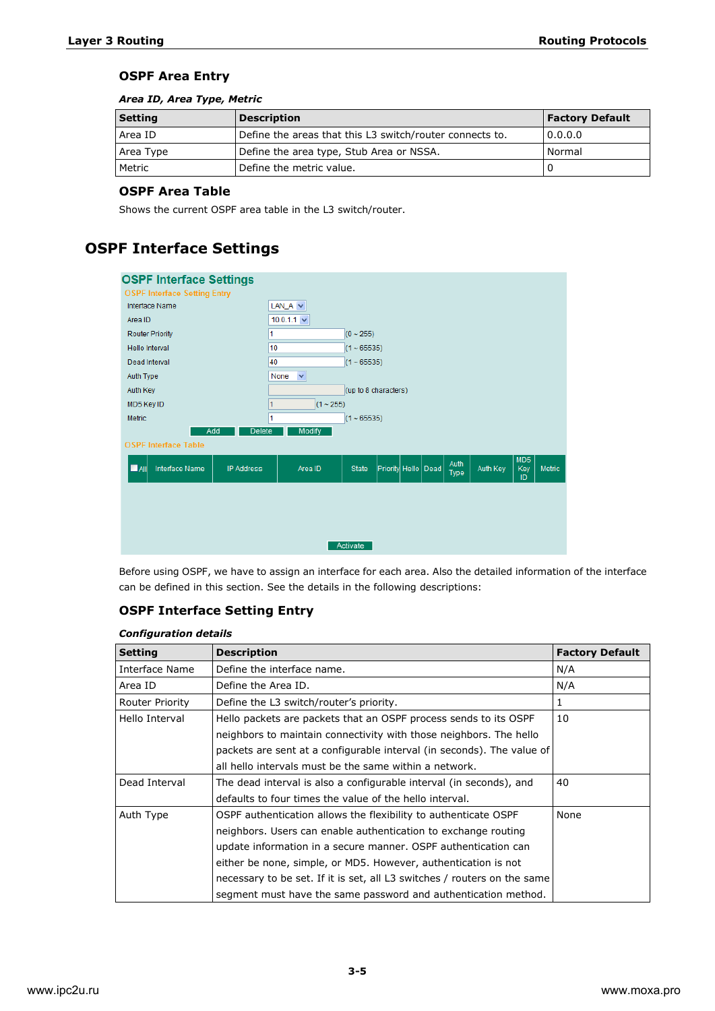#### **OSPF Area Entry**

#### *Area ID, Area Type, Metric*

| <b>Setting</b> | <b>Description</b>                                       | <b>Factory Default</b> |
|----------------|----------------------------------------------------------|------------------------|
| Area ID        | Define the areas that this L3 switch/router connects to. | 0.0.0.0                |
| Area Type      | Define the area type, Stub Area or NSSA.                 | Normal                 |
| Metric         | Define the metric value.                                 |                        |

#### **OSPF Area Table**

Shows the current OSPF area table in the L3 switch/router.

### **OSPF Interface Settings**

| $LAN_A$ $\vee$       |         |                                                         |                                           |                      |                     |      |                 |        |
|----------------------|---------|---------------------------------------------------------|-------------------------------------------|----------------------|---------------------|------|-----------------|--------|
| 10.0.1.1 $\vee$      |         |                                                         |                                           |                      |                     |      |                 |        |
|                      |         |                                                         |                                           |                      |                     |      |                 |        |
| 10                   |         |                                                         |                                           |                      |                     |      |                 |        |
| 40                   |         |                                                         |                                           |                      |                     |      |                 |        |
| $\checkmark$<br>None |         |                                                         |                                           |                      |                     |      |                 |        |
|                      |         |                                                         |                                           |                      |                     |      |                 |        |
|                      |         |                                                         |                                           |                      |                     |      |                 |        |
|                      |         |                                                         |                                           |                      |                     |      |                 |        |
| Modify               |         |                                                         |                                           |                      |                     |      |                 |        |
|                      |         |                                                         |                                           |                      |                     |      |                 |        |
|                      |         |                                                         |                                           |                      |                     |      | MD <sub>5</sub> |        |
|                      |         |                                                         |                                           |                      | Type                |      | ID              | Metric |
|                      |         |                                                         |                                           |                      |                     |      |                 |        |
|                      |         |                                                         |                                           |                      |                     |      |                 |        |
|                      |         |                                                         |                                           |                      |                     |      |                 |        |
|                      |         |                                                         |                                           |                      |                     |      |                 |        |
|                      |         |                                                         |                                           |                      |                     |      |                 |        |
|                      | Area ID | $(0 \sim 255)$<br>(1 ~ 255)<br><b>State</b><br>Activate | (1 ~ 65535)<br>(1 ~ 65535)<br>(1 ~ 65535) | (up to 8 characters) | Priority Hello Dead | Auth | Auth Key        | Key    |

Before using OSPF, we have to assign an interface for each area. Also the detailed information of the interface can be defined in this section. See the details in the following descriptions:

#### **OSPF Interface Setting Entry**

#### *Configuration details* **Setting Description Factory Default** Interface Name Define the interface name. N/A Area ID Define the Area ID. N/A Router Priority  $\big|$  Define the L3 switch/router's priority. Hello Interval | Hello packets are packets that an OSPF process sends to its OSPF neighbors to maintain connectivity with those neighbors. The hello packets are sent at a configurable interval (in seconds). The value of all hello intervals must be the same within a network. 10 Dead Interval The dead interval is also a configurable interval (in seconds), and defaults to four times the value of the hello interval. 40 Auth Type  $\bigcirc$  OSPF authentication allows the flexibility to authenticate OSPF neighbors. Users can enable authentication to exchange routing update information in a secure manner. OSPF authentication can either be none, simple, or MD5. However, authentication is not necessary to be set. If it is set, all L3 switches / routers on the same segment must have the same password and authentication method. None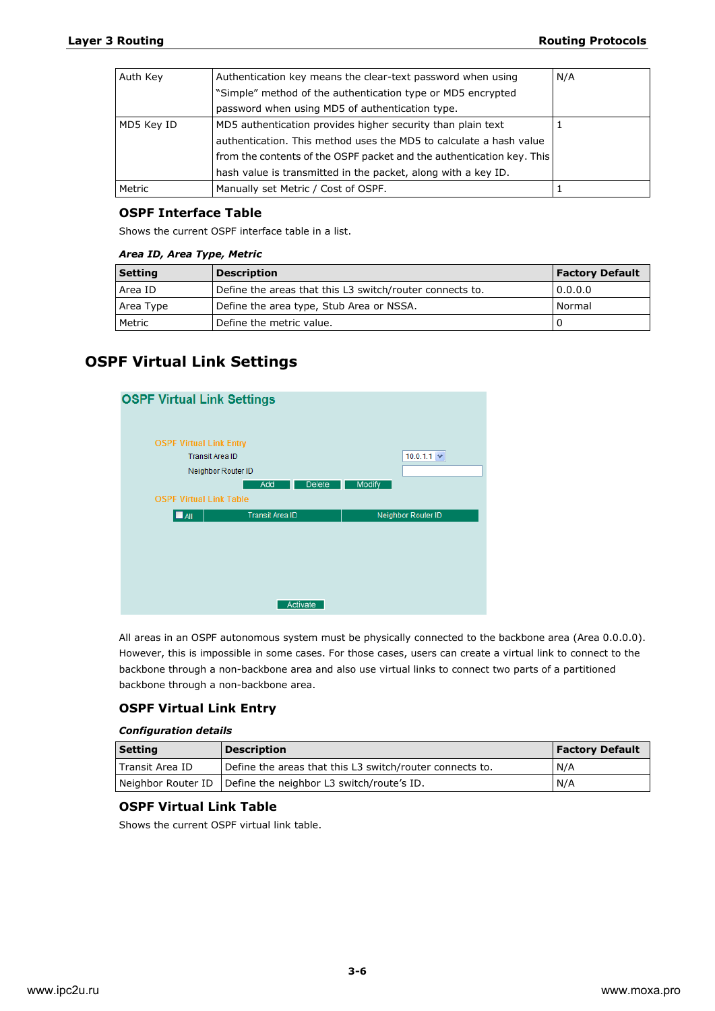| Auth Key   | Authentication key means the clear-text password when using           | N/A |
|------------|-----------------------------------------------------------------------|-----|
|            | "Simple" method of the authentication type or MD5 encrypted           |     |
|            | password when using MD5 of authentication type.                       |     |
| MD5 Key ID | MD5 authentication provides higher security than plain text           |     |
|            | authentication. This method uses the MD5 to calculate a hash value    |     |
|            | from the contents of the OSPF packet and the authentication key. This |     |
|            | hash value is transmitted in the packet, along with a key ID.         |     |
| Metric     | Manually set Metric / Cost of OSPF.                                   |     |

#### **OSPF Interface Table**

Shows the current OSPF interface table in a list.

#### *Area ID, Area Type, Metric*

| Setting   | <b>Description</b>                                       | <b>Factory Default</b> |
|-----------|----------------------------------------------------------|------------------------|
| Area ID   | Define the areas that this L3 switch/router connects to. | 0.0.0.0                |
| Area Type | Define the area type, Stub Area or NSSA.                 | Normal                 |
| Metric    | Define the metric value.                                 |                        |

### **OSPF Virtual Link Settings**



All areas in an OSPF autonomous system must be physically connected to the backbone area (Area 0.0.0.0). However, this is impossible in some cases. For those cases, users can create a virtual link to connect to the backbone through a non-backbone area and also use virtual links to connect two parts of a partitioned backbone through a non-backbone area.

#### **OSPF Virtual Link Entry**

#### *Configuration details*

| <b>Setting</b>    | <b>Description</b>                                             | <b>Factory Default</b> |
|-------------------|----------------------------------------------------------------|------------------------|
| l Transit Area ID | Define the areas that this L3 switch/router connects to.       | N/A                    |
|                   | Neighbor Router ID   Define the neighbor L3 switch/route's ID. | N/A                    |

#### **OSPF Virtual Link Table**

Shows the current OSPF virtual link table.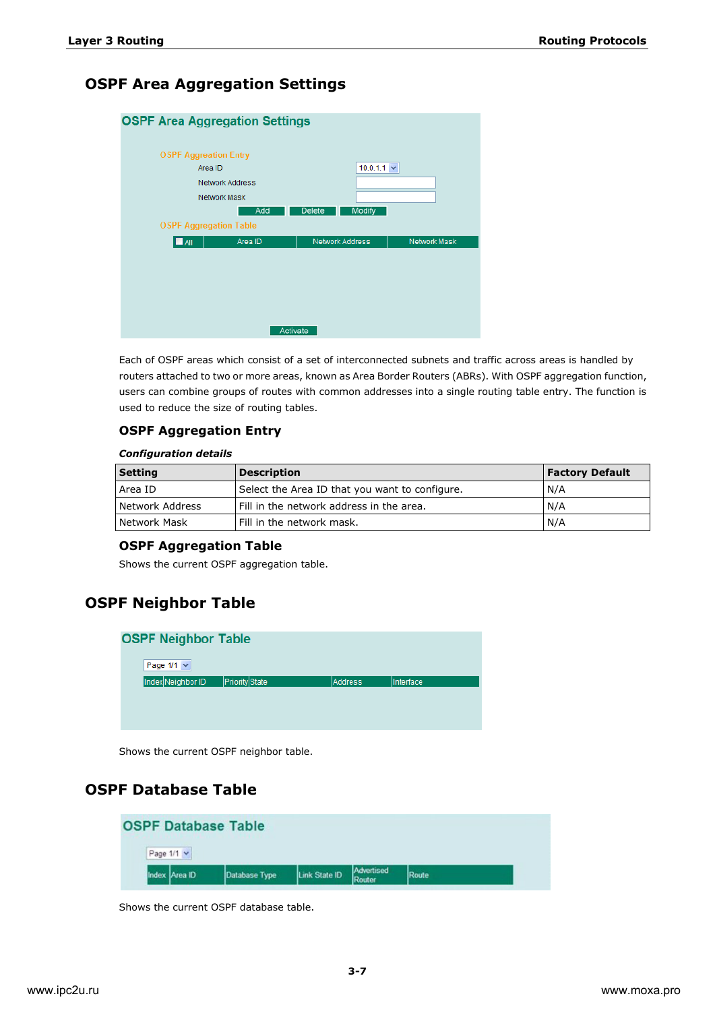### **OSPF Area Aggregation Settings**

| <b>OSPF Area Aggregation Settings</b> |                        |                                |                     |
|---------------------------------------|------------------------|--------------------------------|---------------------|
| <b>OSPF Aggreation Entry</b>          |                        |                                |                     |
| Area ID                               |                        | $10.0.1.1 \times$              |                     |
|                                       | <b>Network Address</b> |                                |                     |
|                                       | Network Mask           |                                |                     |
|                                       | Add                    | <b>Modify</b><br><b>Delete</b> |                     |
| <b>OSPF Aggregation Table</b>         |                        |                                |                     |
| $\blacksquare$ All                    | Area ID                | <b>Network Address</b>         | <b>Network Mask</b> |
|                                       |                        |                                |                     |
|                                       |                        |                                |                     |
|                                       |                        |                                |                     |
|                                       |                        |                                |                     |
|                                       |                        |                                |                     |
|                                       | Activate               |                                |                     |
|                                       |                        |                                |                     |

Each of OSPF areas which consist of a set of interconnected subnets and traffic across areas is handled by routers attached to two or more areas, known as Area Border Routers (ABRs). With OSPF aggregation function, users can combine groups of routes with common addresses into a single routing table entry. The function is used to reduce the size of routing tables.

#### **OSPF Aggregation Entry**

#### *Configuration details*

| <b>Setting</b>  | <b>Description</b>                             | <b>Factory Default</b> |
|-----------------|------------------------------------------------|------------------------|
| Area ID         | Select the Area ID that you want to configure. | N/A                    |
| Network Address | I Fill in the network address in the area.     | N/A                    |
| Network Mask    | l Fill in the network mask.                    | N/A                    |

#### **OSPF Aggregation Table**

Shows the current OSPF aggregation table.

### **OSPF Neighbor Table**

| <b>OSPF Neighbor Table</b> |                |                |           |  |
|----------------------------|----------------|----------------|-----------|--|
| Page 1/1 v                 |                |                |           |  |
| Index Neighbor ID          | Priority State | <b>Address</b> | Interface |  |
|                            |                |                |           |  |
|                            |                |                |           |  |
|                            |                |                |           |  |
|                            |                |                |           |  |

Shows the current OSPF neighbor table.

### **OSPF Database Table**

|               | <b>OSPF Database Table</b> |               |                      |       |  |
|---------------|----------------------------|---------------|----------------------|-------|--|
| Page 1/1 v    |                            |               |                      |       |  |
| Index Area ID | Database Type              | Link State ID | Advertised<br>Router | Route |  |

Shows the current OSPF database table.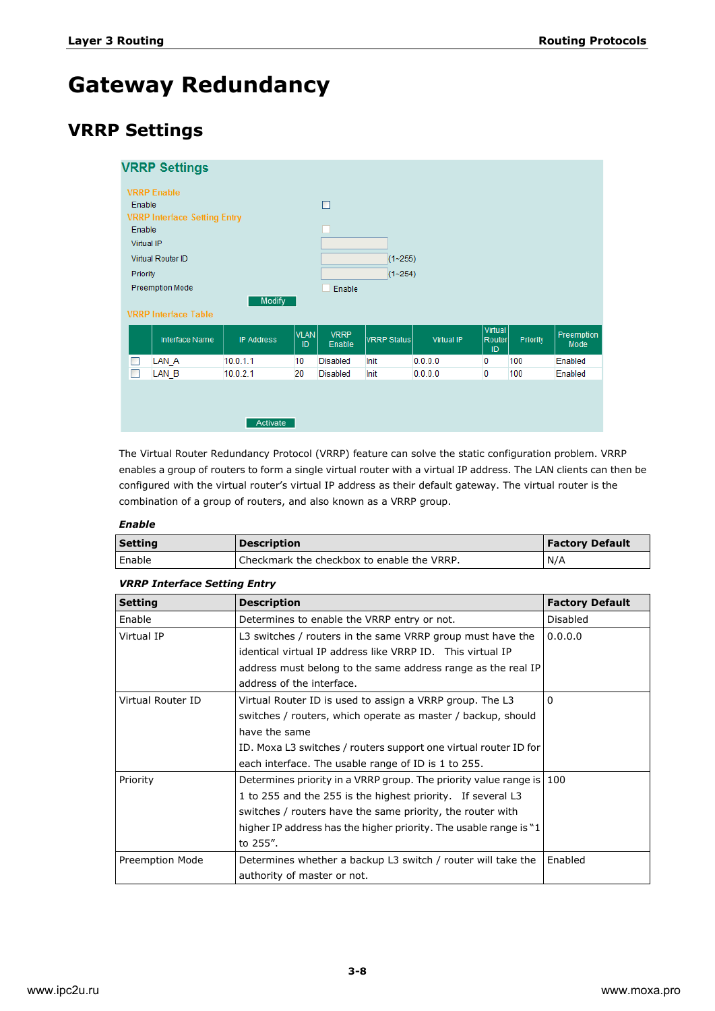# **Gateway Redundancy**

## **VRRP Settings**

|                | <b>VRRP Settings</b>                |                   |                   |                       |             |            |                                |          |                    |
|----------------|-------------------------------------|-------------------|-------------------|-----------------------|-------------|------------|--------------------------------|----------|--------------------|
|                | <b>VRRP Enable</b>                  |                   |                   |                       |             |            |                                |          |                    |
| Enable         |                                     |                   |                   | П                     |             |            |                                |          |                    |
|                | <b>VRRP Interface Setting Entry</b> |                   |                   |                       |             |            |                                |          |                    |
| Enable         |                                     |                   |                   |                       |             |            |                                |          |                    |
|                | Virtual IP                          |                   |                   |                       |             |            |                                |          |                    |
|                | Virtual Router ID                   |                   |                   |                       | $(1 - 255)$ |            |                                |          |                    |
| Priority       |                                     |                   |                   |                       | $(1 - 254)$ |            |                                |          |                    |
|                | <b>Preemption Mode</b>              |                   |                   | Enable                |             |            |                                |          |                    |
|                | <b>VRRP Interface Table</b>         | Modify            |                   |                       |             |            |                                |          |                    |
|                | Interface Name                      | <b>IP Address</b> | <b>VLAN</b><br>ID | <b>VRRP</b><br>Enable | VRRP Status | Virtual IP | <b>Virtual</b><br>Router<br>ID | Priority | Preemption<br>Mode |
|                | LAN A                               | 10.0.1.1          | 10                | <b>Disabled</b>       | Init        | 0.0.0.0    | 0                              | 100      | Enabled            |
| $\mathbb{R}^n$ | LAN B                               | 10.0.2.1          | 20                | <b>Disabled</b>       | Init        | 0.0.0.0    | 0                              | 100      | Enabled            |
|                |                                     | Activate          |                   |                       |             |            |                                |          |                    |

The Virtual Router Redundancy Protocol (VRRP) feature can solve the static configuration problem. VRRP enables a group of routers to form a single virtual router with a virtual IP address. The LAN clients can then be configured with the virtual router's virtual IP address as their default gateway. The virtual router is the combination of a group of routers, and also known as a VRRP group.

#### *Enable*

| <b>Setting</b> | <b>Description</b>                         | <b>Factory Default</b> |
|----------------|--------------------------------------------|------------------------|
| Enable         | Checkmark the checkbox to enable the VRRP. | N/A                    |

#### *VRRP Interface Setting Entry*

| <b>Setting</b>    | <b>Description</b>                                                   | <b>Factory Default</b> |
|-------------------|----------------------------------------------------------------------|------------------------|
| Enable            | Determines to enable the VRRP entry or not.                          | <b>Disabled</b>        |
| Virtual IP        | L3 switches / routers in the same VRRP group must have the           | 0.0.0.0                |
|                   | identical virtual IP address like VRRP ID. This virtual IP           |                        |
|                   | address must belong to the same address range as the real IP         |                        |
|                   | address of the interface.                                            |                        |
| Virtual Router ID | Virtual Router ID is used to assign a VRRP group. The L3             | $\Omega$               |
|                   | switches / routers, which operate as master / backup, should         |                        |
|                   | have the same                                                        |                        |
|                   | ID. Moxa L3 switches / routers support one virtual router ID for     |                        |
|                   | each interface. The usable range of ID is 1 to 255.                  |                        |
| Priority          | Determines priority in a VRRP group. The priority value range is 100 |                        |
|                   | 1 to 255 and the 255 is the highest priority. If several L3          |                        |
|                   | switches / routers have the same priority, the router with           |                        |
|                   | higher IP address has the higher priority. The usable range is "1    |                        |
|                   | to 255".                                                             |                        |
| Preemption Mode   | Determines whether a backup L3 switch / router will take the         | Enabled                |
|                   | authority of master or not.                                          |                        |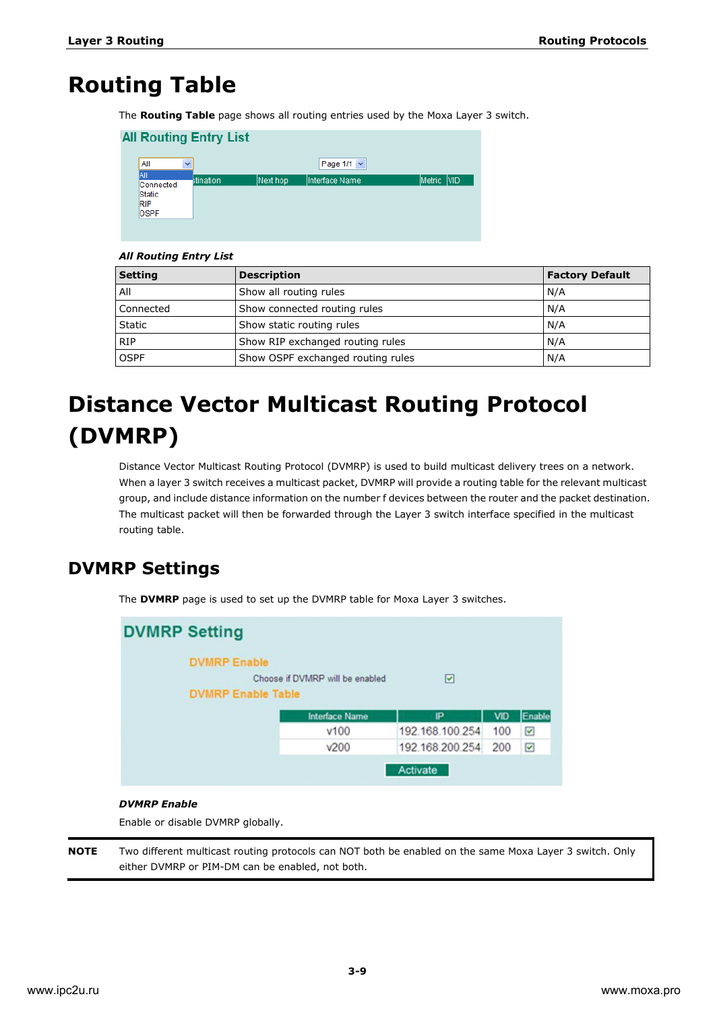# **Routing Table**

The **Routing Table** page shows all routing entries used by the Moxa Layer 3 switch.

| <b>All Routing Entry List</b>                           |              |           |          |                 |            |  |
|---------------------------------------------------------|--------------|-----------|----------|-----------------|------------|--|
| All                                                     | $\checkmark$ |           |          | Page 1/1 $\vee$ |            |  |
| ΑII<br>Connected<br><b>Static</b><br>RIP<br><b>OSPF</b> |              | stination | Next hop | Interface Name  | Metric VID |  |

#### *All Routing Entry List*

| <b>Setting</b> | <b>Description</b>                | <b>Factory Default</b> |
|----------------|-----------------------------------|------------------------|
| All            | Show all routing rules            | N/A                    |
| Connected      | Show connected routing rules      | N/A                    |
| Static         | Show static routing rules         | N/A                    |
| <b>RIP</b>     | Show RIP exchanged routing rules  | N/A                    |
| <b>OSPF</b>    | Show OSPF exchanged routing rules | N/A                    |

# **Distance Vector Multicast Routing Protocol (DVMRP)**

Distance Vector Multicast Routing Protocol (DVMRP) is used to build multicast delivery trees on a network. When a layer 3 switch receives a multicast packet, DVMRP will provide a routing table for the relevant multicast group, and include distance information on the number f devices between the router and the packet destination. The multicast packet will then be forwarded through the Layer 3 switch interface specified in the multicast routing table.

### **DVMRP Settings**

The **DVMRP** page is used to set up the DVMRP table for Moxa Layer 3 switches.



#### *DVMRP Enable*

Enable or disable DVMRP globally.

**NOTE** Two different multicast routing protocols can NOT both be enabled on the same Moxa Layer 3 switch. Only either DVMRP or PIM-DM can be enabled, not both.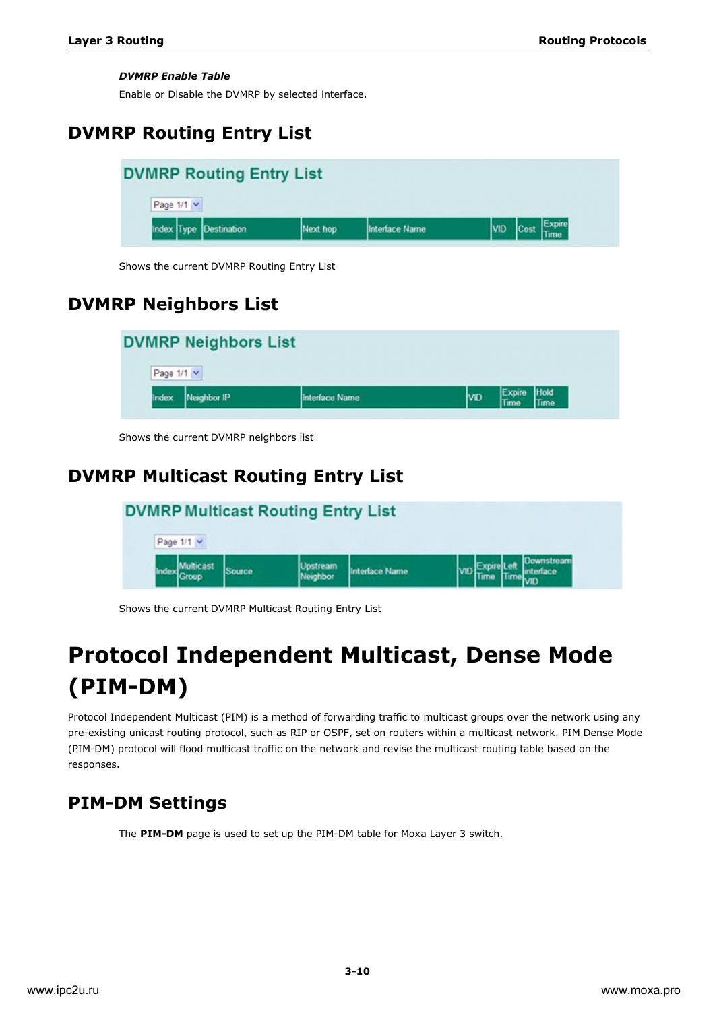#### *DVMRP Enable Table*

Enable or Disable the DVMRP by selected interface.

## **DVMRP Routing Entry List**

| Page 1/1 v                                                                           |  |
|--------------------------------------------------------------------------------------|--|
|                                                                                      |  |
| Expire<br><b>NID</b><br>Index Type Destination<br>Cost<br>Interface Name<br>Next hop |  |

Shows the current DVMRP Routing Entry List

## **DVMRP Neighbors List**

| Page 1/1 v<br>Hold<br><b>ND</b><br>Index<br>Neighbor IP<br>Interface Name | <b>DVMRP Neighbors List</b> |  |                |             |
|---------------------------------------------------------------------------|-----------------------------|--|----------------|-------------|
|                                                                           |                             |  |                |             |
|                                                                           |                             |  | Expire<br>Time | <b>Time</b> |

Shows the current DVMRP neighbors list

# **DVMRP Multicast Routing Entry List**

| <b>DVMRP Multicast Routing Entry List</b> |        |                      |                |  |  |          |  |
|-------------------------------------------|--------|----------------------|----------------|--|--|----------|--|
| Page $1/1$ $\vee$                         |        |                      |                |  |  |          |  |
| <b>ulticast</b><br>iroup                  | Source | lostream<br>Neighbor | Interface Name |  |  | nterface |  |

Shows the current DVMRP Multicast Routing Entry List

# **Protocol Independent Multicast, Dense Mode (PIM-DM)**

Protocol Independent Multicast (PIM) is a method of forwarding traffic to multicast groups over the network using any pre-existing unicast routing protocol, such as RIP or OSPF, set on routers within a multicast network. PIM Dense Mode (PIM-DM) protocol will flood multicast traffic on the network and revise the multicast routing table based on the responses.

## **PIM-DM Settings**

The **PIM-DM** page is used to set up the PIM-DM table for Moxa Layer 3 switch.